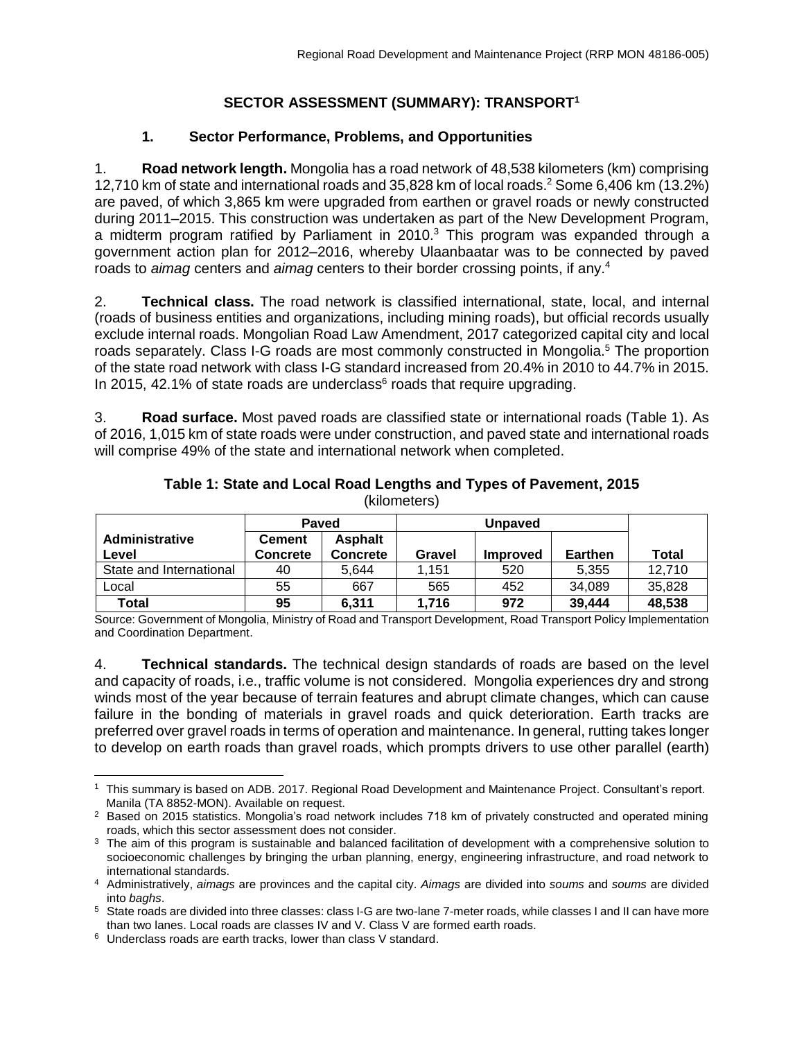# **SECTOR ASSESSMENT (SUMMARY): TRANSPORT<sup>1</sup>**

### **1. Sector Performance, Problems, and Opportunities**

1. **Road network length.** Mongolia has a road network of 48,538 kilometers (km) comprising 12,710 km of state and international roads and 35,828 km of local roads. <sup>2</sup> Some 6,406 km (13.2%) are paved, of which 3,865 km were upgraded from earthen or gravel roads or newly constructed during 2011–2015. This construction was undertaken as part of the New Development Program, a midterm program ratified by Parliament in 2010.<sup>3</sup> This program was expanded through a government action plan for 2012–2016, whereby Ulaanbaatar was to be connected by paved roads to *aimag* centers and *aimag* centers to their border crossing points, if any. 4

2. **Technical class.** The road network is classified international, state, local, and internal (roads of business entities and organizations, including mining roads), but official records usually exclude internal roads. Mongolian Road Law Amendment, 2017 categorized capital city and local roads separately. Class I-G roads are most commonly constructed in Mongolia.<sup>5</sup> The proportion of the state road network with class I-G standard increased from 20.4% in 2010 to 44.7% in 2015. In 2015, 42.1% of state roads are underclass $6$  roads that require upgrading.

3. **Road surface.** Most paved roads are classified state or international roads (Table 1). As of 2016, 1,015 km of state roads were under construction, and paved state and international roads will comprise 49% of the state and international network when completed.

|                                | <b>Paved</b>              |                            |        |                 |                |              |
|--------------------------------|---------------------------|----------------------------|--------|-----------------|----------------|--------------|
| <b>Administrative</b><br>Level | <b>Cement</b><br>Concrete | <b>Asphalt</b><br>Concrete | Gravel | <b>Improved</b> | <b>Earthen</b> | <b>Total</b> |
| State and International        | 40                        | 5.644                      | 1.151  | 520             | 5,355          | 12,710       |
| Local                          | 55                        | 667                        | 565    | 452             | 34,089         | 35,828       |
| <b>Total</b>                   | 95                        | 6,311                      | 1.716  | 972             | 39,444         | 48,538       |

#### **Table 1: State and Local Road Lengths and Types of Pavement, 2015** (kilometers)

Source: Government of Mongolia, Ministry of Road and Transport Development, Road Transport Policy Implementation and Coordination Department.

4. **Technical standards.** The technical design standards of roads are based on the level and capacity of roads, i.e., traffic volume is not considered. Mongolia experiences dry and strong winds most of the year because of terrain features and abrupt climate changes, which can cause failure in the bonding of materials in gravel roads and quick deterioration. Earth tracks are preferred over gravel roads in terms of operation and maintenance. In general, rutting takes longer to develop on earth roads than gravel roads, which prompts drivers to use other parallel (earth)

l <sup>1</sup> This summary is based on ADB. 2017. Regional Road Development and Maintenance Project. Consultant's report. Manila (TA 8852-MON). Available on request.

<sup>&</sup>lt;sup>2</sup> Based on 2015 statistics. Mongolia's road network includes 718 km of privately constructed and operated mining roads, which this sector assessment does not consider.

<sup>&</sup>lt;sup>3</sup> The aim of this program is sustainable and balanced facilitation of development with a comprehensive solution to socioeconomic challenges by bringing the urban planning, energy, engineering infrastructure, and road network to international standards.

<sup>4</sup> Administratively, *aimags* are provinces and the capital city. *Aimags* are divided into *soums* and *soums* are divided into *baghs*.

<sup>&</sup>lt;sup>5</sup> State roads are divided into three classes: class I-G are two-lane 7-meter roads, while classes I and II can have more than two lanes. Local roads are classes IV and V. Class V are formed earth roads.

<sup>6</sup> Underclass roads are earth tracks, lower than class V standard.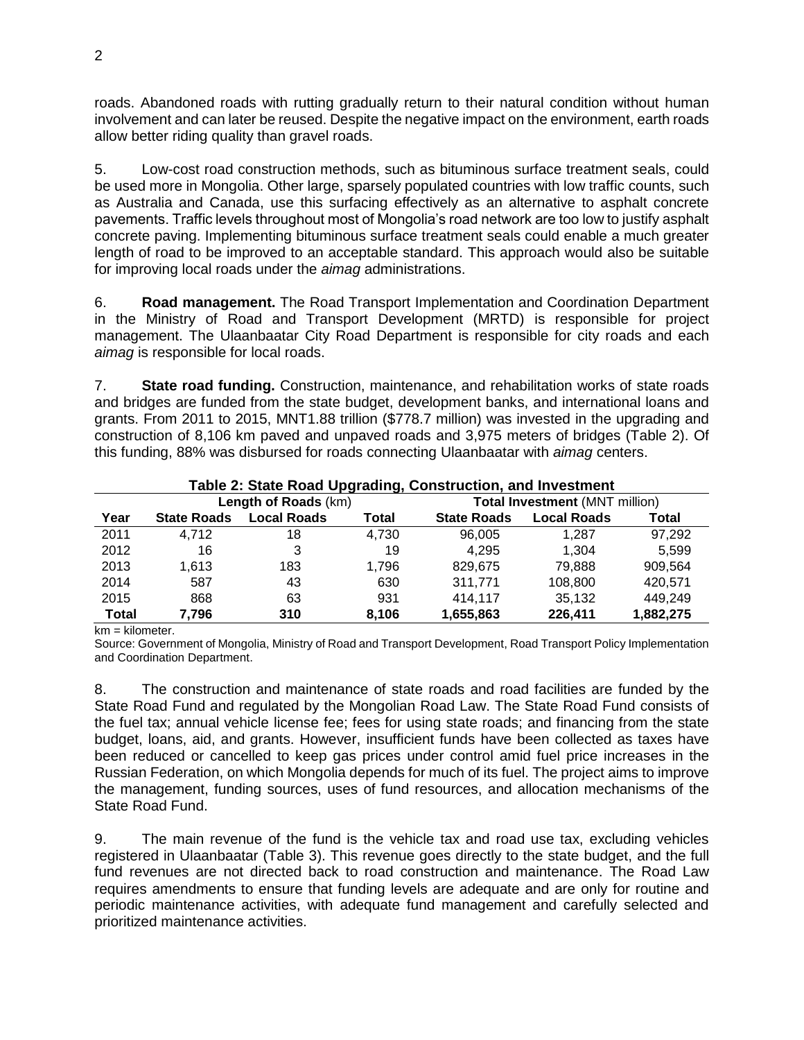roads. Abandoned roads with rutting gradually return to their natural condition without human involvement and can later be reused. Despite the negative impact on the environment, earth roads allow better riding quality than gravel roads.

5. Low-cost road construction methods, such as bituminous surface treatment seals, could be used more in Mongolia. Other large, sparsely populated countries with low traffic counts, such as Australia and Canada, use this surfacing effectively as an alternative to asphalt concrete pavements. Traffic levels throughout most of Mongolia's road network are too low to justify asphalt concrete paving. Implementing bituminous surface treatment seals could enable a much greater length of road to be improved to an acceptable standard. This approach would also be suitable for improving local roads under the *aimag* administrations.

6. **Road management.** The Road Transport Implementation and Coordination Department in the Ministry of Road and Transport Development (MRTD) is responsible for project management. The Ulaanbaatar City Road Department is responsible for city roads and each *aimag* is responsible for local roads.

7. **State road funding.** Construction, maintenance, and rehabilitation works of state roads and bridges are funded from the state budget, development banks, and international loans and grants. From 2011 to 2015, MNT1.88 trillion (\$778.7 million) was invested in the upgrading and construction of 8,106 km paved and unpaved roads and 3,975 meters of bridges (Table 2). Of this funding, 88% was disbursed for roads connecting Ulaanbaatar with *aimag* centers.

| Table 2: State Road Upgrading, Construction, and Investment |                      |                    |       |                                       |                    |           |  |
|-------------------------------------------------------------|----------------------|--------------------|-------|---------------------------------------|--------------------|-----------|--|
|                                                             | Length of Roads (km) |                    |       | <b>Total Investment (MNT million)</b> |                    |           |  |
| Year                                                        | <b>State Roads</b>   | <b>Local Roads</b> | Total | <b>State Roads</b>                    | <b>Local Roads</b> | Total     |  |
| 2011                                                        | 4.712                | 18                 | 4.730 | 96.005                                | 1.287              | 97,292    |  |
| 2012                                                        | 16                   | 3                  | 19    | 4.295                                 | 1.304              | 5.599     |  |
| 2013                                                        | 1.613                | 183                | 1.796 | 829.675                               | 79.888             | 909,564   |  |
| 2014                                                        | 587                  | 43                 | 630   | 311,771                               | 108,800            | 420,571   |  |
| 2015                                                        | 868                  | 63                 | 931   | 414.117                               | 35,132             | 449,249   |  |
| <b>Total</b>                                                | 7,796                | 310                | 8,106 | 1,655,863                             | 226,411            | 1,882,275 |  |

km = kilometer.

Source: Government of Mongolia, Ministry of Road and Transport Development, Road Transport Policy Implementation and Coordination Department.

8. The construction and maintenance of state roads and road facilities are funded by the State Road Fund and regulated by the Mongolian Road Law. The State Road Fund consists of the fuel tax; annual vehicle license fee; fees for using state roads; and financing from the state budget, loans, aid, and grants. However, insufficient funds have been collected as taxes have been reduced or cancelled to keep gas prices under control amid fuel price increases in the Russian Federation, on which Mongolia depends for much of its fuel. The project aims to improve the management, funding sources, uses of fund resources, and allocation mechanisms of the State Road Fund.

9. The main revenue of the fund is the vehicle tax and road use tax, excluding vehicles registered in Ulaanbaatar (Table 3). This revenue goes directly to the state budget, and the full fund revenues are not directed back to road construction and maintenance. The Road Law requires amendments to ensure that funding levels are adequate and are only for routine and periodic maintenance activities, with adequate fund management and carefully selected and prioritized maintenance activities.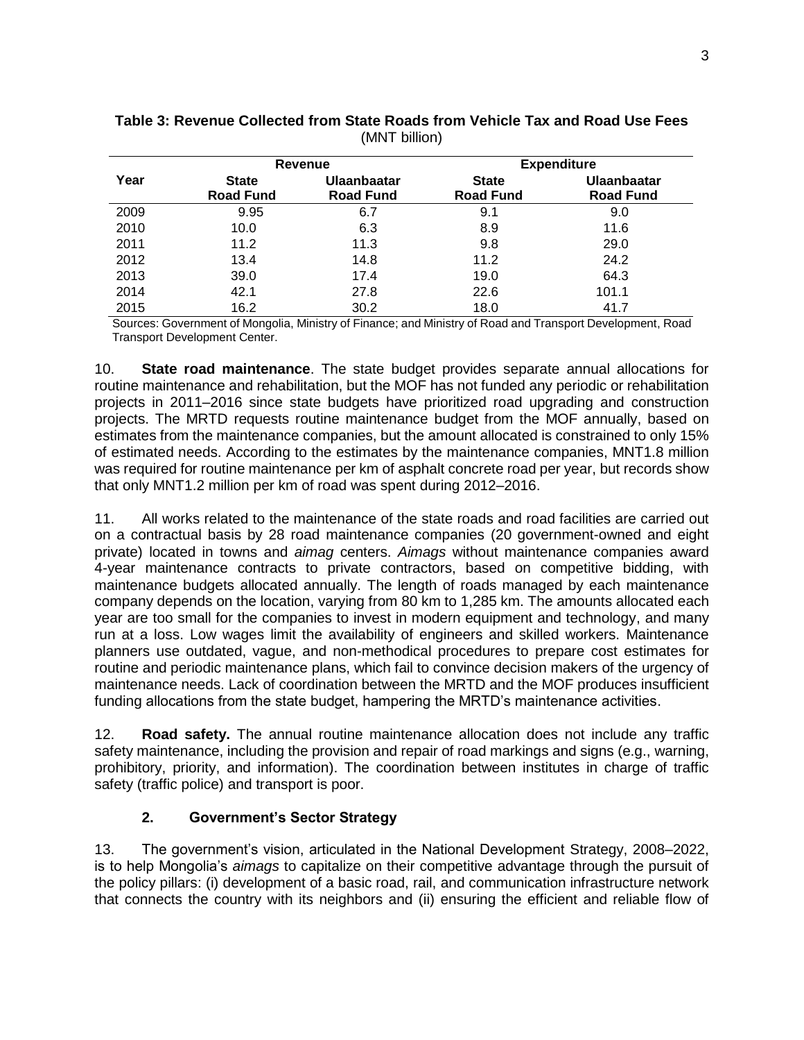|      |                                  | <b>Revenue</b>                  | <b>Expenditure</b>               |                                        |  |
|------|----------------------------------|---------------------------------|----------------------------------|----------------------------------------|--|
| Year | <b>State</b><br><b>Road Fund</b> | Ulaanbaatar<br><b>Road Fund</b> | <b>State</b><br><b>Road Fund</b> | <b>Ulaanbaatar</b><br><b>Road Fund</b> |  |
| 2009 | 9.95                             | 6.7                             | 9.1                              | 9.0                                    |  |
| 2010 | 10.0                             | 6.3                             | 8.9                              | 11.6                                   |  |
| 2011 | 11.2                             | 11.3                            | 9.8                              | 29.0                                   |  |
| 2012 | 13.4                             | 14.8                            | 11.2                             | 24.2                                   |  |
| 2013 | 39.0                             | 17.4                            | 19.0                             | 64.3                                   |  |
| 2014 | 42.1                             | 27.8                            | 22.6                             | 101.1                                  |  |
| 2015 | 16.2                             | 30.2                            | 18.0                             | 41.7                                   |  |

### **Table 3: Revenue Collected from State Roads from Vehicle Tax and Road Use Fees** (MNT billion)

Sources: Government of Mongolia, Ministry of Finance; and Ministry of Road and Transport Development, Road Transport Development Center.

10. **State road maintenance**. The state budget provides separate annual allocations for routine maintenance and rehabilitation, but the MOF has not funded any periodic or rehabilitation projects in 2011–2016 since state budgets have prioritized road upgrading and construction projects. The MRTD requests routine maintenance budget from the MOF annually, based on estimates from the maintenance companies, but the amount allocated is constrained to only 15% of estimated needs. According to the estimates by the maintenance companies, MNT1.8 million was required for routine maintenance per km of asphalt concrete road per year, but records show that only MNT1.2 million per km of road was spent during 2012–2016.

11. All works related to the maintenance of the state roads and road facilities are carried out on a contractual basis by 28 road maintenance companies (20 government-owned and eight private) located in towns and *aimag* centers. *Aimags* without maintenance companies award 4-year maintenance contracts to private contractors, based on competitive bidding, with maintenance budgets allocated annually. The length of roads managed by each maintenance company depends on the location, varying from 80 km to 1,285 km. The amounts allocated each year are too small for the companies to invest in modern equipment and technology, and many run at a loss. Low wages limit the availability of engineers and skilled workers. Maintenance planners use outdated, vague, and non-methodical procedures to prepare cost estimates for routine and periodic maintenance plans, which fail to convince decision makers of the urgency of maintenance needs. Lack of coordination between the MRTD and the MOF produces insufficient funding allocations from the state budget, hampering the MRTD's maintenance activities.

12. **Road safety.** The annual routine maintenance allocation does not include any traffic safety maintenance, including the provision and repair of road markings and signs (e.g., warning, prohibitory, priority, and information). The coordination between institutes in charge of traffic safety (traffic police) and transport is poor.

## **2. Government's Sector Strategy**

13. The government's vision, articulated in the National Development Strategy, 2008–2022, is to help Mongolia's *aimags* to capitalize on their competitive advantage through the pursuit of the policy pillars: (i) development of a basic road, rail, and communication infrastructure network that connects the country with its neighbors and (ii) ensuring the efficient and reliable flow of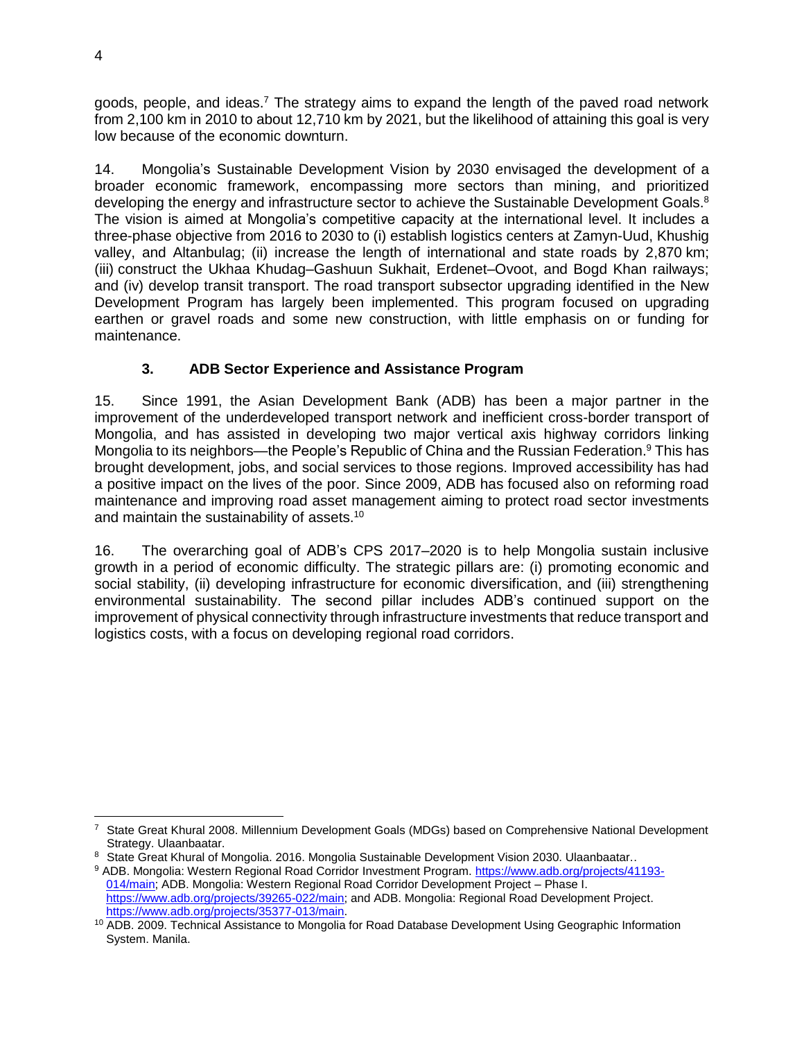goods, people, and ideas.<sup>7</sup> The strategy aims to expand the length of the paved road network from 2,100 km in 2010 to about 12,710 km by 2021, but the likelihood of attaining this goal is very low because of the economic downturn.

14. Mongolia's Sustainable Development Vision by 2030 envisaged the development of a broader economic framework, encompassing more sectors than mining, and prioritized developing the energy and infrastructure sector to achieve the Sustainable Development Goals.<sup>8</sup> The vision is aimed at Mongolia's competitive capacity at the international level. It includes a three-phase objective from 2016 to 2030 to (i) establish logistics centers at Zamyn-Uud, Khushig valley, and Altanbulag; (ii) increase the length of international and state roads by 2,870 km; (iii) construct the Ukhaa Khudag–Gashuun Sukhait, Erdenet–Ovoot, and Bogd Khan railways; and (iv) develop transit transport. The road transport subsector upgrading identified in the New Development Program has largely been implemented. This program focused on upgrading earthen or gravel roads and some new construction, with little emphasis on or funding for maintenance.

# **3. ADB Sector Experience and Assistance Program**

15. Since 1991, the Asian Development Bank (ADB) has been a major partner in the improvement of the underdeveloped transport network and inefficient cross-border transport of Mongolia, and has assisted in developing two major vertical axis highway corridors linking Mongolia to its neighbors—the People's Republic of China and the Russian Federation. <sup>9</sup> This has brought development, jobs, and social services to those regions. Improved accessibility has had a positive impact on the lives of the poor. Since 2009, ADB has focused also on reforming road maintenance and improving road asset management aiming to protect road sector investments and maintain the sustainability of assets.<sup>10</sup>

16. The overarching goal of ADB's CPS 2017–2020 is to help Mongolia sustain inclusive growth in a period of economic difficulty. The strategic pillars are: (i) promoting economic and social stability, (ii) developing infrastructure for economic diversification, and (iii) strengthening environmental sustainability. The second pillar includes ADB's continued support on the improvement of physical connectivity through infrastructure investments that reduce transport and logistics costs, with a focus on developing regional road corridors.

l <sup>7</sup> State Great Khural 2008. Millennium Development Goals (MDGs) based on Comprehensive National Development Strategy. Ulaanbaatar.

<sup>8</sup> State Great Khural of Mongolia. 2016. Mongolia Sustainable Development Vision 2030. Ulaanbaatar..

<sup>9</sup> ADB. Mongolia: Western Regional Road Corridor Investment Program. [https://www.adb.org/projects/41193-](https://www.adb.org/projects/41193-014/main) [014/main;](https://www.adb.org/projects/41193-014/main) ADB. Mongolia: Western Regional Road Corridor Development Project – Phase I. [https://www.adb.org/projects/39265-022/main;](https://www.adb.org/projects/39265-022/main) and ADB. Mongolia: Regional Road Development Project. [https://www.adb.org/projects/35377-013/main.](https://www.adb.org/projects/35377-013/main)

<sup>&</sup>lt;sup>10</sup> ADB. 2009. Technical Assistance to Mongolia for Road Database Development Using Geographic Information System. Manila.